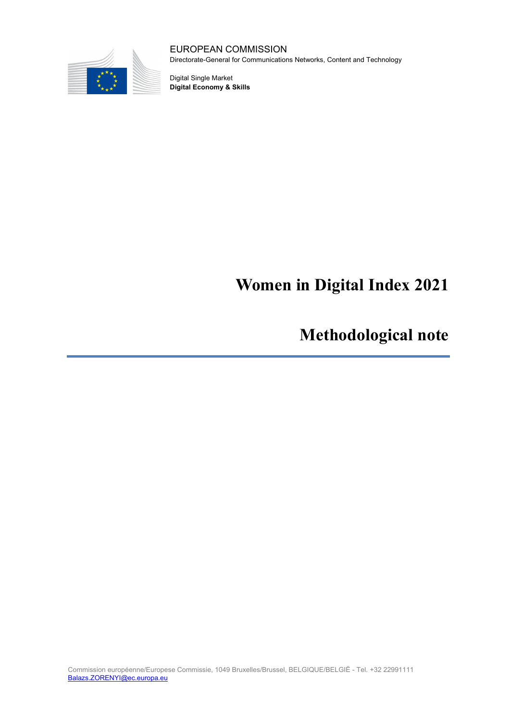

EUROPEAN COMMISSION Directorate-General for Communications Networks, Content and Technology

Digital Single Market **Digital Economy & Skills**

# **Women in Digital Index 2021**

**Methodological note**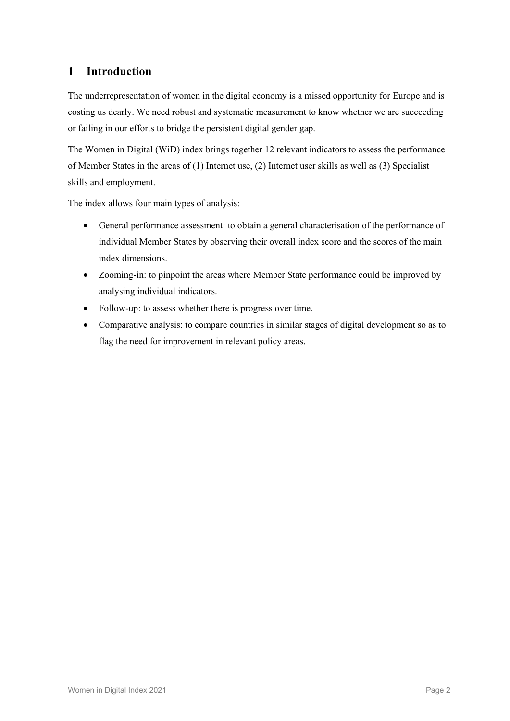## **1 Introduction**

The underrepresentation of women in the digital economy is a missed opportunity for Europe and is costing us dearly. We need robust and systematic measurement to know whether we are succeeding or failing in our efforts to bridge the persistent digital gender gap.

The Women in Digital (WiD) index brings together 12 relevant indicators to assess the performance of Member States in the areas of (1) Internet use, (2) Internet user skills as well as (3) Specialist skills and employment.

The index allows four main types of analysis:

- General performance assessment: to obtain a general characterisation of the performance of individual Member States by observing their overall index score and the scores of the main index dimensions.
- Zooming-in: to pinpoint the areas where Member State performance could be improved by analysing individual indicators.
- Follow-up: to assess whether there is progress over time.
- Comparative analysis: to compare countries in similar stages of digital development so as to flag the need for improvement in relevant policy areas.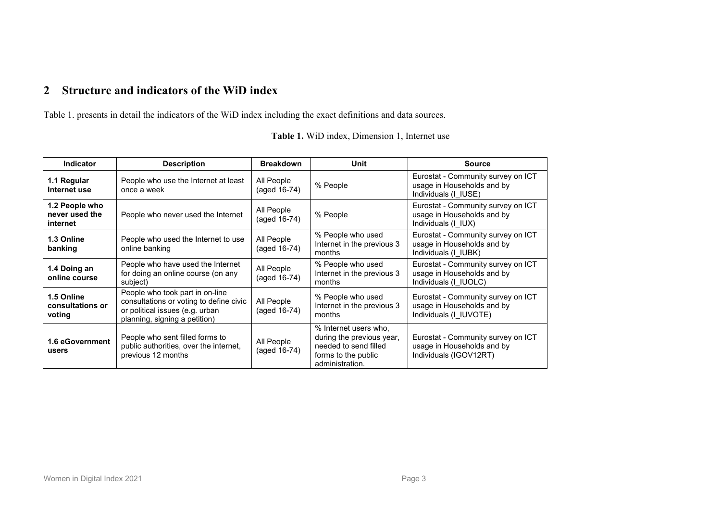# **2 Structure and indicators of the WiD index**

<span id="page-2-0"></span>Table [1.](#page-2-0) presents in detail the indicators of the WiD index including the exact definitions and data sources.

| <b>Indicator</b>                             | <b>Description</b>                                                                                                                             | <b>Breakdown</b>           | Unit                                                                                                                  | <b>Source</b>                                                                              |  |
|----------------------------------------------|------------------------------------------------------------------------------------------------------------------------------------------------|----------------------------|-----------------------------------------------------------------------------------------------------------------------|--------------------------------------------------------------------------------------------|--|
| 1.1 Regular<br>Internet use                  | People who use the Internet at least<br>once a week                                                                                            | All People<br>(aged 16-74) | % People                                                                                                              | Eurostat - Community survey on ICT<br>usage in Households and by<br>Individuals (I IUSE)   |  |
| 1.2 People who<br>never used the<br>internet | People who never used the Internet                                                                                                             | All People<br>(aged 16-74) | % People                                                                                                              | Eurostat - Community survey on ICT<br>usage in Households and by<br>Individuals (I IUX)    |  |
| 1.3 Online<br>banking                        | People who used the Internet to use<br>online banking                                                                                          | All People<br>(aged 16-74) | % People who used<br>Internet in the previous 3<br>months                                                             | Eurostat - Community survey on ICT<br>usage in Households and by<br>Individuals (I IUBK)   |  |
| 1.4 Doing an<br>online course                | People who have used the Internet<br>for doing an online course (on any<br>subject)                                                            | All People<br>(aged 16-74) | % People who used<br>Internet in the previous 3<br>months                                                             | Eurostat - Community survey on ICT<br>usage in Households and by<br>Individuals (I IUOLC)  |  |
| 1.5 Online<br>consultations or<br>voting     | People who took part in on-line<br>consultations or voting to define civic<br>or political issues (e.g. urban<br>planning, signing a petition) | All People<br>(aged 16-74) | % People who used<br>Internet in the previous 3<br>months                                                             | Eurostat - Community survey on ICT<br>usage in Households and by<br>Individuals (I IUVOTE) |  |
| 1.6 eGovernment<br>users                     | People who sent filled forms to<br>public authorities, over the internet,<br>previous 12 months                                                | All People<br>(aged 16-74) | % Internet users who,<br>during the previous year,<br>needed to send filled<br>forms to the public<br>administration. | Eurostat - Community survey on ICT<br>usage in Households and by<br>Individuals (IGOV12RT) |  |

**Table 1.** WiD index, Dimension 1, Internet use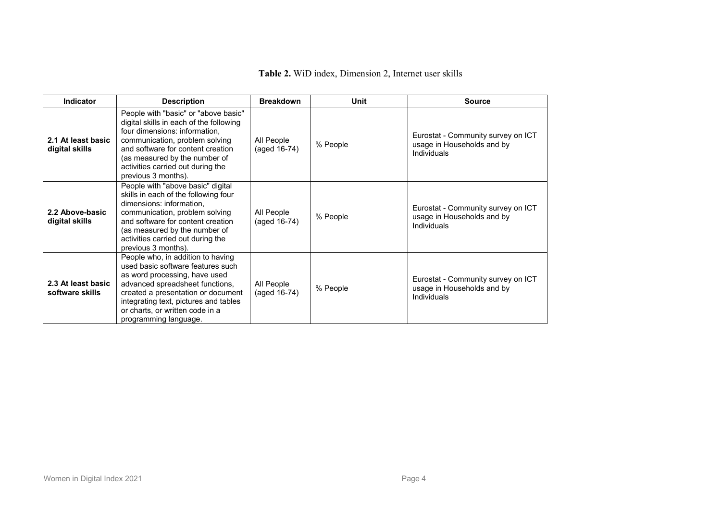| <b>Indicator</b>                      | <b>Description</b>                                                                                                                                                                                                                                                                    | <b>Breakdown</b>           | Unit     | <b>Source</b>                                                                   |
|---------------------------------------|---------------------------------------------------------------------------------------------------------------------------------------------------------------------------------------------------------------------------------------------------------------------------------------|----------------------------|----------|---------------------------------------------------------------------------------|
| 2.1 At least basic<br>digital skills  | People with "basic" or "above basic"<br>digital skills in each of the following<br>four dimensions: information,<br>communication, problem solving<br>and software for content creation<br>(as measured by the number of<br>activities carried out during the<br>previous 3 months).  | All People<br>(aged 16-74) | % People | Eurostat - Community survey on ICT<br>usage in Households and by<br>Individuals |
| 2.2 Above-basic<br>digital skills     | People with "above basic" digital<br>skills in each of the following four<br>dimensions: information,<br>communication, problem solving<br>and software for content creation<br>(as measured by the number of<br>activities carried out during the<br>previous 3 months).             | All People<br>(aged 16-74) | % People | Eurostat - Community survey on ICT<br>usage in Households and by<br>Individuals |
| 2.3 At least basic<br>software skills | People who, in addition to having<br>used basic software features such<br>as word processing, have used<br>advanced spreadsheet functions,<br>created a presentation or document<br>integrating text, pictures and tables<br>or charts, or written code in a<br>programming language. | All People<br>(aged 16-74) | % People | Eurostat - Community survey on ICT<br>usage in Households and by<br>Individuals |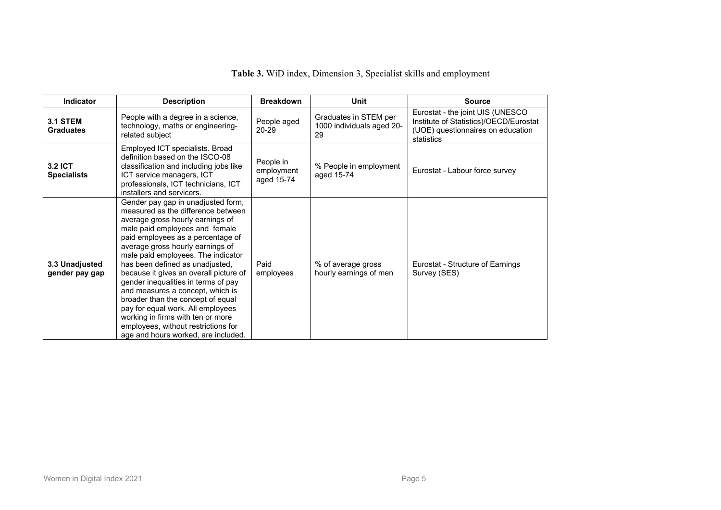| Indicator                           | <b>Description</b>                                                                                                                                                                                                                                                                                                                                                                                                                                                                                                                                                                                                 | <b>Breakdown</b>                      | Unit                                                     | <b>Source</b>                                                                                                                 |
|-------------------------------------|--------------------------------------------------------------------------------------------------------------------------------------------------------------------------------------------------------------------------------------------------------------------------------------------------------------------------------------------------------------------------------------------------------------------------------------------------------------------------------------------------------------------------------------------------------------------------------------------------------------------|---------------------------------------|----------------------------------------------------------|-------------------------------------------------------------------------------------------------------------------------------|
| <b>3.1 STEM</b><br><b>Graduates</b> | People with a degree in a science,<br>technology, maths or engineering-<br>related subject                                                                                                                                                                                                                                                                                                                                                                                                                                                                                                                         | People aged<br>$20 - 29$              | Graduates in STEM per<br>1000 individuals aged 20-<br>29 | Eurostat - the joint UIS (UNESCO<br>Institute of Statistics)/OECD/Eurostat<br>(UOE) questionnaires on education<br>statistics |
| 3.2 ICT<br><b>Specialists</b>       | Employed ICT specialists. Broad<br>definition based on the ISCO-08<br>classification and including jobs like<br>ICT service managers, ICT<br>professionals, ICT technicians, ICT<br>installers and servicers.                                                                                                                                                                                                                                                                                                                                                                                                      | People in<br>employment<br>aged 15-74 | % People in employment<br>aged 15-74                     | Eurostat - Labour force survey                                                                                                |
| 3.3 Unadjusted<br>gender pay gap    | Gender pay gap in unadjusted form,<br>measured as the difference between<br>average gross hourly earnings of<br>male paid employees and female<br>paid employees as a percentage of<br>average gross hourly earnings of<br>male paid employees. The indicator<br>has been defined as unadjusted,<br>because it gives an overall picture of<br>gender inequalities in terms of pay<br>and measures a concept, which is<br>broader than the concept of equal<br>pay for equal work. All employees<br>working in firms with ten or more<br>employees, without restrictions for<br>age and hours worked, are included. | Paid<br>employees                     | % of average gross<br>hourly earnings of men             | Eurostat - Structure of Earnings<br>Survey (SES)                                                                              |

**Table 3.** WiD index, Dimension 3, Specialist skills and employment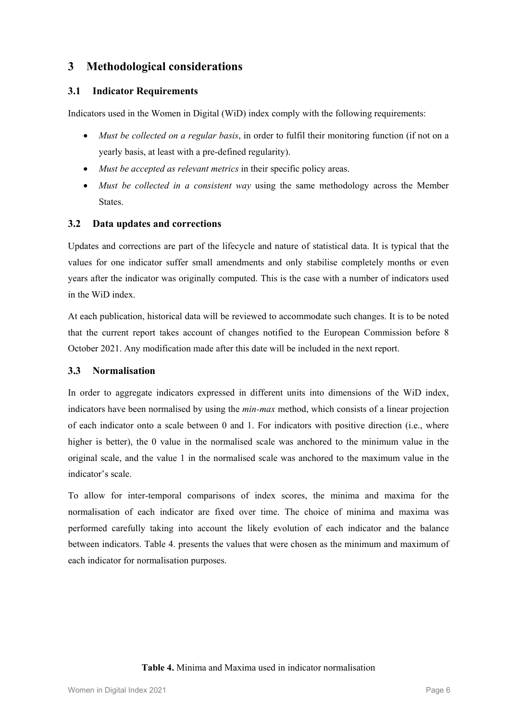## **3 Methodological considerations**

## **3.1 Indicator Requirements**

Indicators used in the Women in Digital (WiD) index comply with the following requirements:

- *Must be collected on a regular basis*, in order to fulfil their monitoring function (if not on a yearly basis, at least with a pre-defined regularity).
- *Must be accepted as relevant metrics* in their specific policy areas.
- *Must be collected in a consistent way* using the same methodology across the Member States.

## **3.2 Data updates and corrections**

Updates and corrections are part of the lifecycle and nature of statistical data. It is typical that the values for one indicator suffer small amendments and only stabilise completely months or even years after the indicator was originally computed. This is the case with a number of indicators used in the WiD index.

At each publication, historical data will be reviewed to accommodate such changes. It is to be noted that the current report takes account of changes notified to the European Commission before 8 October 2021. Any modification made after this date will be included in the next report.

#### **3.3 Normalisation**

In order to aggregate indicators expressed in different units into dimensions of the WiD index, indicators have been normalised by using the *min-max* method, which consists of a linear projection of each indicator onto a scale between 0 and 1. For indicators with positive direction (i.e., where higher is better), the 0 value in the normalised scale was anchored to the minimum value in the original scale, and the value 1 in the normalised scale was anchored to the maximum value in the indicator's scale.

To allow for inter-temporal comparisons of index scores, the minima and maxima for the normalisation of each indicator are fixed over time. The choice of minima and maxima was performed carefully taking into account the likely evolution of each indicator and the balance between indicators. Table 4. presents the values that were chosen as the minimum and maximum of each indicator for normalisation purposes.

#### **Table 4.** Minima and Maxima used in indicator normalisation